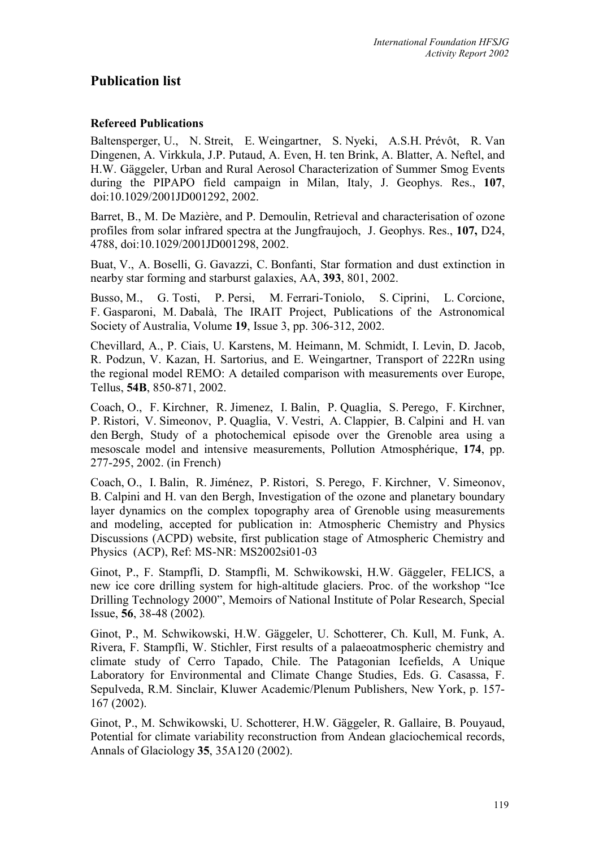# **Publication list**

## **Refereed Publications**

Baltensperger, U., N. Streit, E. Weingartner, S. Nyeki, A.S.H. Prévôt, R. Van Dingenen, A. Virkkula, J.P. Putaud, A. Even, H. ten Brink, A. Blatter, A. Neftel, and H.W. Gäggeler, Urban and Rural Aerosol Characterization of Summer Smog Events during the PIPAPO field campaign in Milan, Italy, J. Geophys. Res., **107**, doi:10.1029/2001JD001292, 2002.

Barret, B., M. De Mazière, and P. Demoulin, Retrieval and characterisation of ozone profiles from solar infrared spectra at the Jungfraujoch, J. Geophys. Res., **107,** D24, 4788, doi:10.1029/2001JD001298, 2002.

Buat, V., A. Boselli, G. Gavazzi, C. Bonfanti, Star formation and dust extinction in nearby star forming and starburst galaxies, AA, **393**, 801, 2002.

Busso, M., G. Tosti, P. Persi, M. Ferrari-Toniolo, S. Ciprini, L. Corcione, F. Gasparoni, M. Dabalà, The IRAIT Project, Publications of the Astronomical Society of Australia, Volume **19**, Issue 3, pp. 306-312, 2002.

Chevillard, A., P. Ciais, U. Karstens, M. Heimann, M. Schmidt, I. Levin, D. Jacob, R. Podzun, V. Kazan, H. Sartorius, and E. Weingartner, Transport of 222Rn using the regional model REMO: A detailed comparison with measurements over Europe, Tellus, **54B**, 850-871, 2002.

Coach, O., F. Kirchner, R. Jimenez, I. Balin, P. Quaglia, S. Perego, F. Kirchner, P. Ristori, V. Simeonov, P. Quaglia, V. Vestri, A. Clappier, B. Calpini and H. van den Bergh, Study of a photochemical episode over the Grenoble area using a mesoscale model and intensive measurements, Pollution Atmosphérique, **174**, pp. 277-295, 2002. (in French)

Coach, O., I. Balin, R. Jiménez, P. Ristori, S. Perego, F. Kirchner, V. Simeonov, B. Calpini and H. van den Bergh, Investigation of the ozone and planetary boundary layer dynamics on the complex topography area of Grenoble using measurements and modeling, accepted for publication in: Atmospheric Chemistry and Physics Discussions (ACPD) website, first publication stage of Atmospheric Chemistry and Physics (ACP), Ref: MS-NR: MS2002si01-03

Ginot, P., F. Stampfli, D. Stampfli, M. Schwikowski, H.W. Gäggeler, FELICS, a new ice core drilling system for high-altitude glaciers. Proc. of the workshop "Ice Drilling Technology 2000", Memoirs of National Institute of Polar Research, Special Issue, **56**, 38-48 (2002)*.* 

Ginot, P., M. Schwikowski, H.W. Gäggeler, U. Schotterer, Ch. Kull, M. Funk, A. Rivera, F. Stampfli, W. Stichler, First results of a palaeoatmospheric chemistry and climate study of Cerro Tapado, Chile. The Patagonian Icefields, A Unique Laboratory for Environmental and Climate Change Studies, Eds. G. Casassa, F. Sepulveda, R.M. Sinclair, Kluwer Academic/Plenum Publishers, New York, p. 157- 167 (2002).

Ginot, P., M. Schwikowski, U. Schotterer, H.W. Gäggeler, R. Gallaire, B. Pouyaud, Potential for climate variability reconstruction from Andean glaciochemical records, Annals of Glaciology **35**, 35A120 (2002).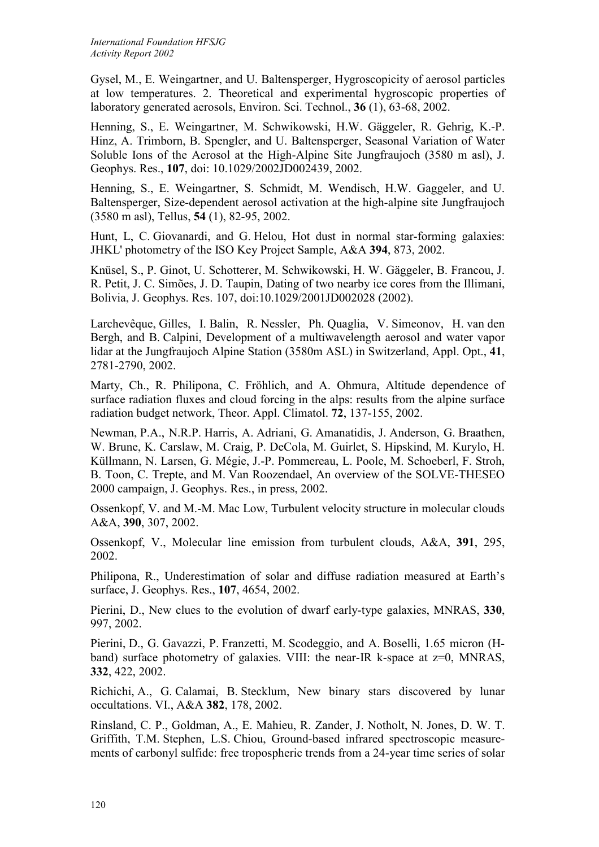Gysel, M., E. Weingartner, and U. Baltensperger, Hygroscopicity of aerosol particles at low temperatures. 2. Theoretical and experimental hygroscopic properties of laboratory generated aerosols, Environ. Sci. Technol., **36** (1), 63-68, 2002.

Henning, S., E. Weingartner, M. Schwikowski, H.W. Gäggeler, R. Gehrig, K.-P. Hinz, A. Trimborn, B. Spengler, and U. Baltensperger, Seasonal Variation of Water Soluble Ions of the Aerosol at the High-Alpine Site Jungfraujoch (3580 m asl), J. Geophys. Res., **107**, doi: 10.1029/2002JD002439, 2002.

Henning, S., E. Weingartner, S. Schmidt, M. Wendisch, H.W. Gaggeler, and U. Baltensperger, Size-dependent aerosol activation at the high-alpine site Jungfraujoch (3580 m asl), Tellus, **54** (1), 82-95, 2002.

Hunt, L, C. Giovanardi, and G. Helou, Hot dust in normal star-forming galaxies: JHKL' photometry of the ISO Key Project Sample, A&A **394**, 873, 2002.

Knüsel, S., P. Ginot, U. Schotterer, M. Schwikowski, H. W. Gäggeler, B. Francou, J. R. Petit, J. C. Simões, J. D. Taupin, Dating of two nearby ice cores from the Illimani, Bolivia, J. Geophys. Res. 107, doi:10.1029/2001JD002028 (2002).

Larchevêque, Gilles, I. Balin, R. Nessler, Ph. Quaglia, V. Simeonov, H. van den Bergh, and B. Calpini, Development of a multiwavelength aerosol and water vapor lidar at the Jungfraujoch Alpine Station (3580m ASL) in Switzerland, Appl. Opt., **41**, 2781-2790, 2002.

Marty, Ch., R. Philipona, C. Fröhlich, and A. Ohmura, Altitude dependence of surface radiation fluxes and cloud forcing in the alps: results from the alpine surface radiation budget network, Theor. Appl. Climatol. **72**, 137-155, 2002.

Newman, P.A., N.R.P. Harris, A. Adriani, G. Amanatidis, J. Anderson, G. Braathen, W. Brune, K. Carslaw, M. Craig, P. DeCola, M. Guirlet, S. Hipskind, M. Kurylo, H. Küllmann, N. Larsen, G. Mégie, J.-P. Pommereau, L. Poole, M. Schoeberl, F. Stroh, B. Toon, C. Trepte, and M. Van Roozendael, An overview of the SOLVE-THESEO 2000 campaign, J. Geophys. Res., in press, 2002.

Ossenkopf, V. and M.-M. Mac Low, Turbulent velocity structure in molecular clouds A&A, **390**, 307, 2002.

Ossenkopf, V., Molecular line emission from turbulent clouds, A&A, **391**, 295, 2002.

Philipona, R., Underestimation of solar and diffuse radiation measured at Earth's surface, J. Geophys. Res., **107**, 4654, 2002.

Pierini, D., New clues to the evolution of dwarf early-type galaxies, MNRAS, **330**, 997, 2002.

Pierini, D., G. Gavazzi, P. Franzetti, M. Scodeggio, and A. Boselli, 1.65 micron (Hband) surface photometry of galaxies. VIII: the near-IR k-space at  $z=0$ , MNRAS, **332**, 422, 2002.

Richichi, A., G. Calamai, B. Stecklum, New binary stars discovered by lunar occultations. VI., A&A **382**, 178, 2002.

Rinsland, C. P., Goldman, A., E. Mahieu, R. Zander, J. Notholt, N. Jones, D. W. T. Griffith, T.M. Stephen, L.S. Chiou, Ground-based infrared spectroscopic measurements of carbonyl sulfide: free tropospheric trends from a 24-year time series of solar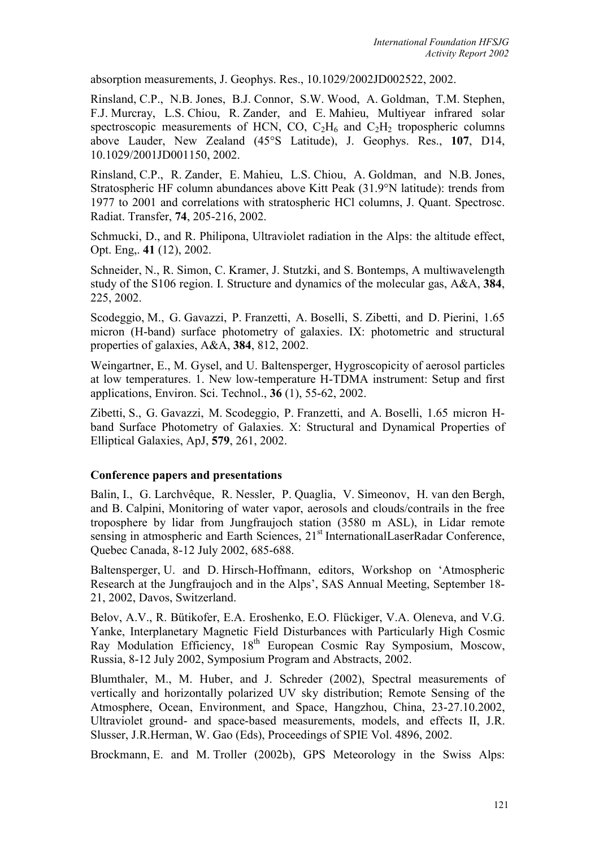absorption measurements, J. Geophys. Res., 10.1029/2002JD002522, 2002.

Rinsland, C.P., N.B. Jones, B.J. Connor, S.W. Wood, A. Goldman, T.M. Stephen, F.J. Murcray, L.S. Chiou, R. Zander, and E. Mahieu, Multiyear infrared solar spectroscopic measurements of HCN, CO,  $C_2H_6$  and  $C_2H_2$  tropospheric columns above Lauder, New Zealand (45°S Latitude), J. Geophys. Res., **107**, D14, 10.1029/2001JD001150, 2002.

Rinsland, C.P., R. Zander, E. Mahieu, L.S. Chiou, A. Goldman, and N.B. Jones, Stratospheric HF column abundances above Kitt Peak (31.9°N latitude): trends from 1977 to 2001 and correlations with stratospheric HCl columns, J. Quant. Spectrosc. Radiat. Transfer, **74**, 205-216, 2002.

Schmucki, D., and R. Philipona, Ultraviolet radiation in the Alps: the altitude effect, Opt. Eng,. **41** (12), 2002.

Schneider, N., R. Simon, C. Kramer, J. Stutzki, and S. Bontemps, A multiwavelength study of the S106 region. I. Structure and dynamics of the molecular gas, A&A, **384**, 225, 2002.

Scodeggio, M., G. Gavazzi, P. Franzetti, A. Boselli, S. Zibetti, and D. Pierini, 1.65 micron (H-band) surface photometry of galaxies. IX: photometric and structural properties of galaxies, A&A, **384**, 812, 2002.

Weingartner, E., M. Gysel, and U. Baltensperger, Hygroscopicity of aerosol particles at low temperatures. 1. New low-temperature H-TDMA instrument: Setup and first applications, Environ. Sci. Technol., **36** (1), 55-62, 2002.

Zibetti, S., G. Gavazzi, M. Scodeggio, P. Franzetti, and A. Boselli, 1.65 micron Hband Surface Photometry of Galaxies. X: Structural and Dynamical Properties of Elliptical Galaxies, ApJ, **579**, 261, 2002.

#### **Conference papers and presentations**

Balin, I., G. Larchvêque, R. Nessler, P. Quaglia, V. Simeonov, H. van den Bergh, and B. Calpini, Monitoring of water vapor, aerosols and clouds/contrails in the free troposphere by lidar from Jungfraujoch station (3580 m ASL), in Lidar remote sensing in atmospheric and Earth Sciences, 21<sup>st</sup> InternationalLaserRadar Conference, Quebec Canada, 8-12 July 2002, 685-688.

Baltensperger, U. and D. Hirsch-Hoffmann, editors, Workshop on 'Atmospheric Research at the Jungfraujoch and in the Alps', SAS Annual Meeting, September 18- 21, 2002, Davos, Switzerland.

Belov, A.V., R. Bütikofer, E.A. Eroshenko, E.O. Flückiger, V.A. Oleneva, and V.G. Yanke, Interplanetary Magnetic Field Disturbances with Particularly High Cosmic Ray Modulation Efficiency, 18<sup>th</sup> European Cosmic Ray Symposium, Moscow, Russia, 8-12 July 2002, Symposium Program and Abstracts, 2002.

Blumthaler, M., M. Huber, and J. Schreder (2002), Spectral measurements of vertically and horizontally polarized UV sky distribution; Remote Sensing of the Atmosphere, Ocean, Environment, and Space, Hangzhou, China, 23-27.10.2002, Ultraviolet ground- and space-based measurements, models, and effects II, J.R. Slusser, J.R.Herman, W. Gao (Eds), Proceedings of SPIE Vol. 4896, 2002.

Brockmann, E. and M. Troller (2002b), GPS Meteorology in the Swiss Alps: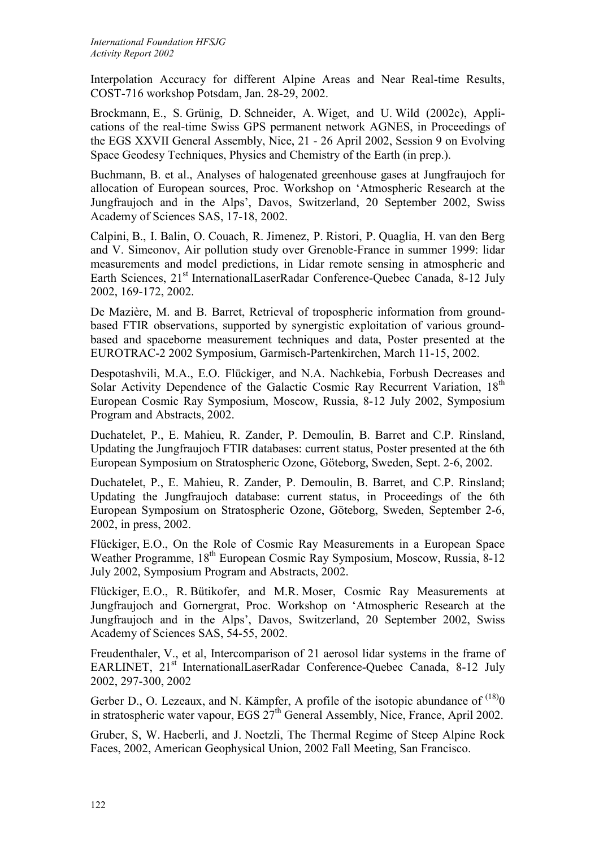Interpolation Accuracy for different Alpine Areas and Near Real-time Results, COST-716 workshop Potsdam, Jan. 28-29, 2002.

Brockmann, E., S. Grünig, D. Schneider, A. Wiget, and U. Wild (2002c), Applications of the real-time Swiss GPS permanent network AGNES, in Proceedings of the EGS XXVII General Assembly, Nice, 21 - 26 April 2002, Session 9 on Evolving Space Geodesy Techniques, Physics and Chemistry of the Earth (in prep.).

Buchmann, B. et al., Analyses of halogenated greenhouse gases at Jungfraujoch for allocation of European sources, Proc. Workshop on 'Atmospheric Research at the Jungfraujoch and in the Alps', Davos, Switzerland, 20 September 2002, Swiss Academy of Sciences SAS, 17-18, 2002.

Calpini, B., I. Balin, O. Couach, R. Jimenez, P. Ristori, P. Quaglia, H. van den Berg and V. Simeonov, Air pollution study over Grenoble-France in summer 1999: lidar measurements and model predictions, in Lidar remote sensing in atmospheric and Earth Sciences, 21<sup>st</sup> InternationalLaserRadar Conference-Quebec Canada, 8-12 July 2002, 169-172, 2002.

De Mazière, M. and B. Barret, Retrieval of tropospheric information from groundbased FTIR observations, supported by synergistic exploitation of various groundbased and spaceborne measurement techniques and data, Poster presented at the EUROTRAC-2 2002 Symposium, Garmisch-Partenkirchen, March 11-15, 2002.

Despotashvili, M.A., E.O. Flückiger, and N.A. Nachkebia, Forbush Decreases and Solar Activity Dependence of the Galactic Cosmic Ray Recurrent Variation, 18<sup>th</sup> European Cosmic Ray Symposium, Moscow, Russia, 8-12 July 2002, Symposium Program and Abstracts, 2002.

Duchatelet, P., E. Mahieu, R. Zander, P. Demoulin, B. Barret and C.P. Rinsland, Updating the Jungfraujoch FTIR databases: current status, Poster presented at the 6th European Symposium on Stratospheric Ozone, Göteborg, Sweden, Sept. 2-6, 2002.

Duchatelet, P., E. Mahieu, R. Zander, P. Demoulin, B. Barret, and C.P. Rinsland; Updating the Jungfraujoch database: current status, in Proceedings of the 6th European Symposium on Stratospheric Ozone, Göteborg, Sweden, September 2-6, 2002, in press, 2002.

Flückiger, E.O., On the Role of Cosmic Ray Measurements in a European Space Weather Programme, 18<sup>th</sup> European Cosmic Ray Symposium, Moscow, Russia, 8-12 July 2002, Symposium Program and Abstracts, 2002.

Flückiger, E.O., R. Bütikofer, and M.R. Moser, Cosmic Ray Measurements at Jungfraujoch and Gornergrat, Proc. Workshop on 'Atmospheric Research at the Jungfraujoch and in the Alps', Davos, Switzerland, 20 September 2002, Swiss Academy of Sciences SAS, 54-55, 2002.

Freudenthaler, V., et al, Intercomparison of 21 aerosol lidar systems in the frame of EARLINET, 21<sup>st</sup> InternationalLaserRadar Conference-Ouebec Canada, 8-12 July 2002, 297-300, 2002

Gerber D., O. Lezeaux, and N. Kämpfer, A profile of the isotopic abundance of  $^{(18)}0$ in stratospheric water vapour, EGS  $27<sup>th</sup>$  General Assembly, Nice, France, April 2002.

Gruber, S, W. Haeberli, and J. Noetzli, The Thermal Regime of Steep Alpine Rock Faces, 2002, American Geophysical Union, 2002 Fall Meeting, San Francisco.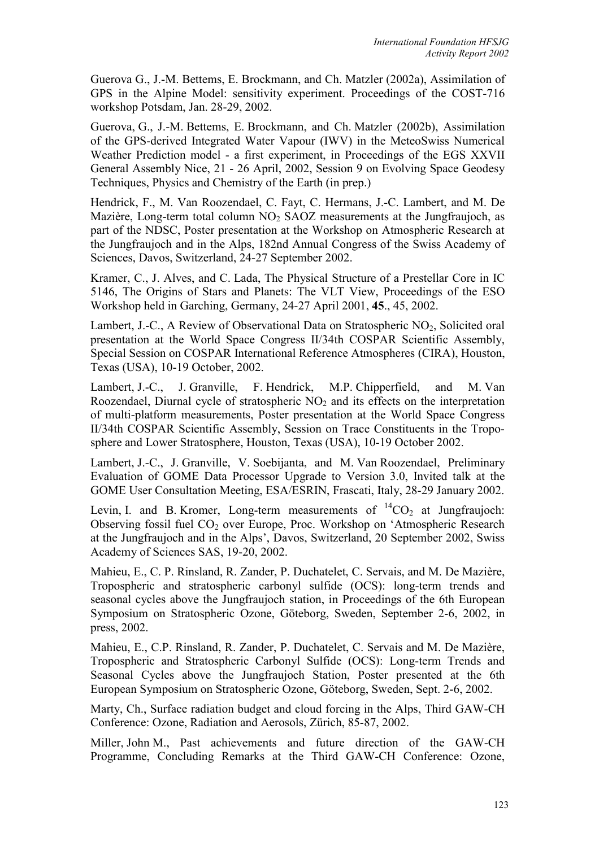Guerova G., J.-M. Bettems, E. Brockmann, and Ch. Matzler (2002a), Assimilation of GPS in the Alpine Model: sensitivity experiment. Proceedings of the COST-716 workshop Potsdam, Jan. 28-29, 2002.

Guerova, G., J.-M. Bettems, E. Brockmann, and Ch. Matzler (2002b), Assimilation of the GPS-derived Integrated Water Vapour (IWV) in the MeteoSwiss Numerical Weather Prediction model - a first experiment, in Proceedings of the EGS XXVII General Assembly Nice, 21 - 26 April, 2002, Session 9 on Evolving Space Geodesy Techniques, Physics and Chemistry of the Earth (in prep.)

Hendrick, F., M. Van Roozendael, C. Fayt, C. Hermans, J.-C. Lambert, and M. De Mazière, Long-term total column  $NO<sub>2</sub>$  SAOZ measurements at the Jungfraujoch, as part of the NDSC, Poster presentation at the Workshop on Atmospheric Research at the Jungfraujoch and in the Alps, 182nd Annual Congress of the Swiss Academy of Sciences, Davos, Switzerland, 24-27 September 2002.

Kramer, C., J. Alves, and C. Lada, The Physical Structure of a Prestellar Core in IC 5146, The Origins of Stars and Planets: The VLT View, Proceedings of the ESO Workshop held in Garching, Germany, 24-27 April 2001, **45**., 45, 2002.

Lambert, J.-C., A Review of Observational Data on Stratospheric  $NO<sub>2</sub>$ , Solicited oral presentation at the World Space Congress II/34th COSPAR Scientific Assembly, Special Session on COSPAR International Reference Atmospheres (CIRA), Houston, Texas (USA), 10-19 October, 2002.

Lambert, J.-C., J. Granville, F. Hendrick, M.P. Chipperfield, and M. Van Roozendael, Diurnal cycle of stratospheric  $NO<sub>2</sub>$  and its effects on the interpretation of multi-platform measurements, Poster presentation at the World Space Congress II/34th COSPAR Scientific Assembly, Session on Trace Constituents in the Troposphere and Lower Stratosphere, Houston, Texas (USA), 10-19 October 2002.

Lambert, J.-C., J. Granville, V. Soebijanta, and M. Van Roozendael, Preliminary Evaluation of GOME Data Processor Upgrade to Version 3.0, Invited talk at the GOME User Consultation Meeting, ESA/ESRIN, Frascati, Italy, 28-29 January 2002.

Levin, I. and B. Kromer, Long-term measurements of  ${}^{14}CO_2$  at Jungfraujoch: Observing fossil fuel  $CO<sub>2</sub>$  over Europe, Proc. Workshop on 'Atmospheric Research at the Jungfraujoch and in the Alps', Davos, Switzerland, 20 September 2002, Swiss Academy of Sciences SAS, 19-20, 2002.

Mahieu, E., C. P. Rinsland, R. Zander, P. Duchatelet, C. Servais, and M. De Mazière, Tropospheric and stratospheric carbonyl sulfide (OCS): long-term trends and seasonal cycles above the Jungfraujoch station, in Proceedings of the 6th European Symposium on Stratospheric Ozone, Göteborg, Sweden, September 2-6, 2002, in press, 2002.

Mahieu, E., C.P. Rinsland, R. Zander, P. Duchatelet, C. Servais and M. De Mazière, Tropospheric and Stratospheric Carbonyl Sulfide (OCS): Long-term Trends and Seasonal Cycles above the Jungfraujoch Station, Poster presented at the 6th European Symposium on Stratospheric Ozone, Göteborg, Sweden, Sept. 2-6, 2002.

Marty, Ch., Surface radiation budget and cloud forcing in the Alps, Third GAW-CH Conference: Ozone, Radiation and Aerosols, Zürich, 85-87, 2002.

Miller, John M., Past achievements and future direction of the GAW-CH Programme, Concluding Remarks at the Third GAW-CH Conference: Ozone,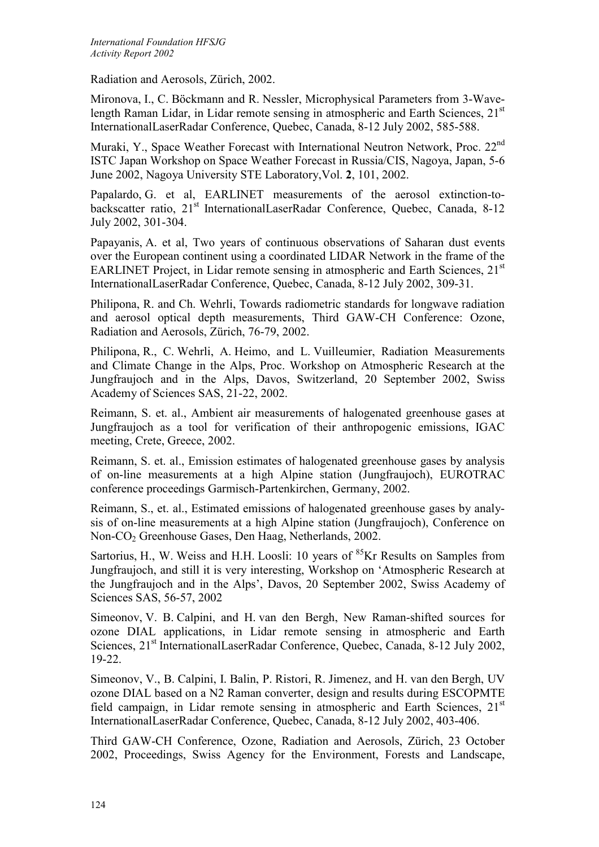Radiation and Aerosols, Zürich, 2002.

Mironova, I., C. Böckmann and R. Nessler, Microphysical Parameters from 3-Wavelength Raman Lidar, in Lidar remote sensing in atmospheric and Earth Sciences, 21<sup>st</sup> InternationalLaserRadar Conference, Quebec, Canada, 8-12 July 2002, 585-588.

Muraki, Y., Space Weather Forecast with International Neutron Network, Proc. 22<sup>nd</sup> ISTC Japan Workshop on Space Weather Forecast in Russia/CIS, Nagoya, Japan, 5-6 June 2002, Nagoya University STE Laboratory,Vol. **2**, 101, 2002.

Papalardo, G. et al, EARLINET measurements of the aerosol extinction-tobackscatter ratio, 21<sup>st</sup> InternationalLaserRadar Conference, Quebec, Canada, 8-12 July 2002, 301-304.

Papayanis, A. et al, Two years of continuous observations of Saharan dust events over the European continent using a coordinated LIDAR Network in the frame of the EARLINET Project, in Lidar remote sensing in atmospheric and Earth Sciences,  $21<sup>st</sup>$ InternationalLaserRadar Conference, Quebec, Canada, 8-12 July 2002, 309-31.

Philipona, R. and Ch. Wehrli, Towards radiometric standards for longwave radiation and aerosol optical depth measurements, Third GAW-CH Conference: Ozone, Radiation and Aerosols, Zürich, 76-79, 2002.

Philipona, R., C. Wehrli, A. Heimo, and L. Vuilleumier, Radiation Measurements and Climate Change in the Alps, Proc. Workshop on Atmospheric Research at the Jungfraujoch and in the Alps, Davos, Switzerland, 20 September 2002, Swiss Academy of Sciences SAS, 21-22, 2002.

Reimann, S. et. al., Ambient air measurements of halogenated greenhouse gases at Jungfraujoch as a tool for verification of their anthropogenic emissions, IGAC meeting, Crete, Greece, 2002.

Reimann, S. et. al., Emission estimates of halogenated greenhouse gases by analysis of on-line measurements at a high Alpine station (Jungfraujoch), EUROTRAC conference proceedings Garmisch-Partenkirchen, Germany, 2002.

Reimann, S., et. al., Estimated emissions of halogenated greenhouse gases by analysis of on-line measurements at a high Alpine station (Jungfraujoch), Conference on Non-CO2 Greenhouse Gases, Den Haag, Netherlands, 2002.

Sartorius, H., W. Weiss and H.H. Loosli: 10 years of <sup>85</sup>Kr Results on Samples from Jungfraujoch, and still it is very interesting, Workshop on 'Atmospheric Research at the Jungfraujoch and in the Alps', Davos, 20 September 2002, Swiss Academy of Sciences SAS, 56-57, 2002

Simeonov, V. B. Calpini, and H. van den Bergh, New Raman-shifted sources for ozone DIAL applications, in Lidar remote sensing in atmospheric and Earth Sciences, 21<sup>st</sup> InternationalLaserRadar Conference, Ouebec, Canada, 8-12 July 2002, 19-22.

Simeonov, V., B. Calpini, I. Balin, P. Ristori, R. Jimenez, and H. van den Bergh, UV ozone DIAL based on a N2 Raman converter, design and results during ESCOPMTE field campaign, in Lidar remote sensing in atmospheric and Earth Sciences, 21<sup>st</sup> InternationalLaserRadar Conference, Quebec, Canada, 8-12 July 2002, 403-406.

Third GAW-CH Conference, Ozone, Radiation and Aerosols, Zürich, 23 October 2002, Proceedings, Swiss Agency for the Environment, Forests and Landscape,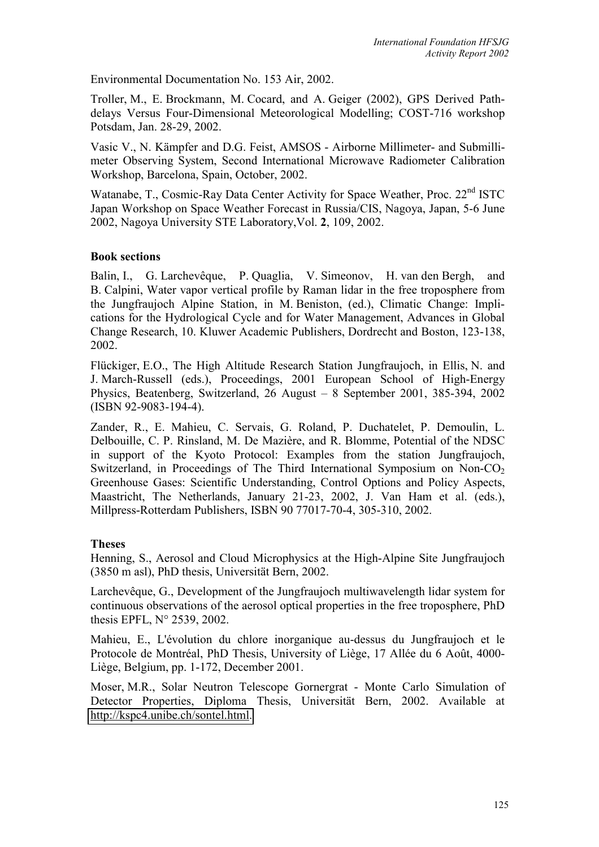Environmental Documentation No. 153 Air, 2002.

Troller, M., E. Brockmann, M. Cocard, and A. Geiger (2002), GPS Derived Pathdelays Versus Four-Dimensional Meteorological Modelling; COST-716 workshop Potsdam, Jan. 28-29, 2002.

Vasic V., N. Kämpfer and D.G. Feist, AMSOS - Airborne Millimeter- and Submillimeter Observing System, Second International Microwave Radiometer Calibration Workshop, Barcelona, Spain, October, 2002.

Watanabe, T., Cosmic-Ray Data Center Activity for Space Weather, Proc. 22<sup>nd</sup> ISTC Japan Workshop on Space Weather Forecast in Russia/CIS, Nagoya, Japan, 5-6 June 2002, Nagoya University STE Laboratory,Vol. **2**, 109, 2002.

### **Book sections**

Balin, I., G. Larchevêque, P. Quaglia, V. Simeonov, H. van den Bergh, and B. Calpini, Water vapor vertical profile by Raman lidar in the free troposphere from the Jungfraujoch Alpine Station, in M. Beniston, (ed.), Climatic Change: Implications for the Hydrological Cycle and for Water Management, Advances in Global Change Research, 10. Kluwer Academic Publishers, Dordrecht and Boston, 123-138, 2002.

Flückiger, E.O., The High Altitude Research Station Jungfraujoch, in Ellis, N. and J. March-Russell (eds.), Proceedings, 2001 European School of High-Energy Physics, Beatenberg, Switzerland, 26 August – 8 September 2001, 385-394, 2002 (ISBN 92-9083-194-4).

Zander, R., E. Mahieu, C. Servais, G. Roland, P. Duchatelet, P. Demoulin, L. Delbouille, C. P. Rinsland, M. De Mazière, and R. Blomme, Potential of the NDSC in support of the Kyoto Protocol: Examples from the station Jungfraujoch, Switzerland, in Proceedings of The Third International Symposium on Non-CO<sub>2</sub> Greenhouse Gases: Scientific Understanding, Control Options and Policy Aspects, Maastricht, The Netherlands, January 21-23, 2002, J. Van Ham et al. (eds.), Millpress-Rotterdam Publishers, ISBN 90 77017-70-4, 305-310, 2002.

#### **Theses**

Henning, S., Aerosol and Cloud Microphysics at the High-Alpine Site Jungfraujoch (3850 m asl), PhD thesis, Universität Bern, 2002.

Larchevêque, G., Development of the Jungfraujoch multiwavelength lidar system for continuous observations of the aerosol optical properties in the free troposphere, PhD thesis EPFL, N° 2539, 2002.

Mahieu, E., L'évolution du chlore inorganique au-dessus du Jungfraujoch et le Protocole de Montréal, PhD Thesis, University of Liège, 17 Allée du 6 Août, 4000- Liège, Belgium, pp. 1-172, December 2001.

Moser, M.R., Solar Neutron Telescope Gornergrat - Monte Carlo Simulation of Detector Properties, Diploma Thesis, Universität Bern, 2002. Available at [http://kspc4.unibe.ch/sontel.html.](http://kspc4.unibe.ch/sontel.html)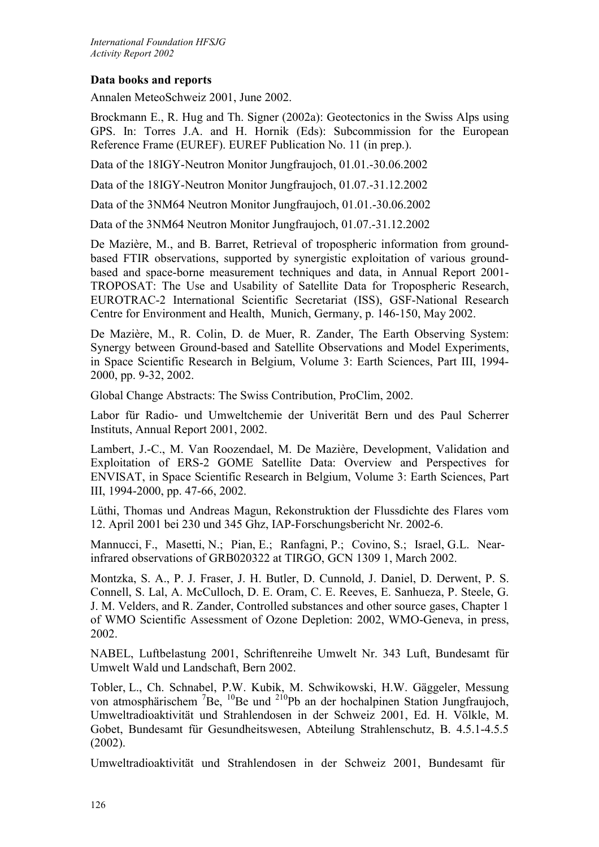# **Data books and reports**

Annalen MeteoSchweiz 2001, June 2002.

Brockmann E., R. Hug and Th. Signer (2002a): Geotectonics in the Swiss Alps using GPS. In: Torres J.A. and H. Hornik (Eds): Subcommission for the European Reference Frame (EUREF). EUREF Publication No. 11 (in prep.).

Data of the 18IGY-Neutron Monitor Jungfraujoch, 01.01.-30.06.2002

Data of the 18IGY-Neutron Monitor Jungfraujoch, 01.07.-31.12.2002

Data of the 3NM64 Neutron Monitor Jungfraujoch, 01.01.-30.06.2002

Data of the 3NM64 Neutron Monitor Jungfraujoch, 01.07.-31.12.2002

De Mazière, M., and B. Barret, Retrieval of tropospheric information from groundbased FTIR observations, supported by synergistic exploitation of various groundbased and space-borne measurement techniques and data, in Annual Report 2001- TROPOSAT: The Use and Usability of Satellite Data for Tropospheric Research, EUROTRAC-2 International Scientific Secretariat (ISS), GSF-National Research Centre for Environment and Health, Munich, Germany, p. 146-150, May 2002.

De Mazière, M., R. Colin, D. de Muer, R. Zander, The Earth Observing System: Synergy between Ground-based and Satellite Observations and Model Experiments, in Space Scientific Research in Belgium, Volume 3: Earth Sciences, Part III, 1994- 2000, pp. 9-32, 2002.

Global Change Abstracts: The Swiss Contribution, ProClim, 2002.

Labor für Radio- und Umweltchemie der Univerität Bern und des Paul Scherrer Instituts, Annual Report 2001, 2002.

Lambert, J.-C., M. Van Roozendael, M. De Mazière, Development, Validation and Exploitation of ERS-2 GOME Satellite Data: Overview and Perspectives for ENVISAT, in Space Scientific Research in Belgium, Volume 3: Earth Sciences, Part III, 1994-2000, pp. 47-66, 2002.

Lüthi, Thomas und Andreas Magun, Rekonstruktion der Flussdichte des Flares vom 12. April 2001 bei 230 und 345 Ghz, IAP-Forschungsbericht Nr. 2002-6.

Mannucci, F., Masetti, N.; Pian, E.; Ranfagni, P.; Covino, S.; Israel, G.L. Nearinfrared observations of GRB020322 at TIRGO, GCN 1309 1, March 2002.

Montzka, S. A., P. J. Fraser, J. H. Butler, D. Cunnold, J. Daniel, D. Derwent, P. S. Connell, S. Lal, A. McCulloch, D. E. Oram, C. E. Reeves, E. Sanhueza, P. Steele, G. J. M. Velders, and R. Zander, Controlled substances and other source gases, Chapter 1 of WMO Scientific Assessment of Ozone Depletion: 2002, WMO-Geneva, in press, 2002.

NABEL, Luftbelastung 2001, Schriftenreihe Umwelt Nr. 343 Luft, Bundesamt für Umwelt Wald und Landschaft, Bern 2002.

Tobler, L., Ch. Schnabel, P.W. Kubik, M. Schwikowski, H.W. Gäggeler, Messung von atmosphärischem  ${}^{7}Be$ ,  ${}^{10}Be$  und  ${}^{210}Pb$  an der hochalpinen Station Jungfraujoch, Umweltradioaktivität und Strahlendosen in der Schweiz 2001, Ed. H. Völkle, M. Gobet, Bundesamt für Gesundheitswesen, Abteilung Strahlenschutz, B. 4.5.1-4.5.5 (2002).

Umweltradioaktivität und Strahlendosen in der Schweiz 2001, Bundesamt für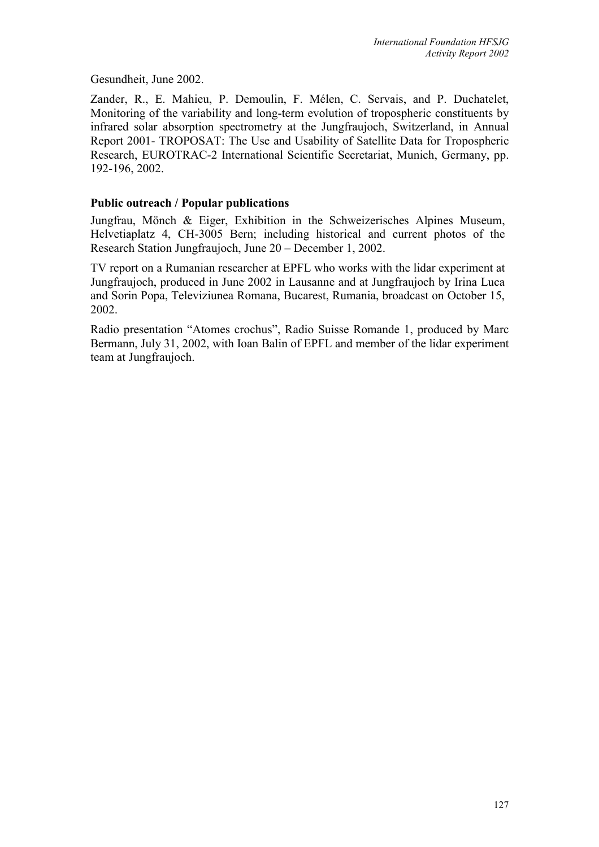Gesundheit, June 2002.

Zander, R., E. Mahieu, P. Demoulin, F. Mélen, C. Servais, and P. Duchatelet, Monitoring of the variability and long-term evolution of tropospheric constituents by infrared solar absorption spectrometry at the Jungfraujoch, Switzerland, in Annual Report 2001- TROPOSAT: The Use and Usability of Satellite Data for Tropospheric Research, EUROTRAC-2 International Scientific Secretariat, Munich, Germany, pp. 192-196, 2002.

# **Public outreach / Popular publications**

Jungfrau, Mönch & Eiger, Exhibition in the Schweizerisches Alpines Museum, Helvetiaplatz 4, CH-3005 Bern; including historical and current photos of the Research Station Jungfraujoch, June 20 – December 1, 2002.

TV report on a Rumanian researcher at EPFL who works with the lidar experiment at Jungfraujoch, produced in June 2002 in Lausanne and at Jungfraujoch by Irina Luca and Sorin Popa, Televiziunea Romana, Bucarest, Rumania, broadcast on October 15, 2002.

Radio presentation "Atomes crochus", Radio Suisse Romande 1, produced by Marc Bermann, July 31, 2002, with Ioan Balin of EPFL and member of the lidar experiment team at Jungfraujoch.